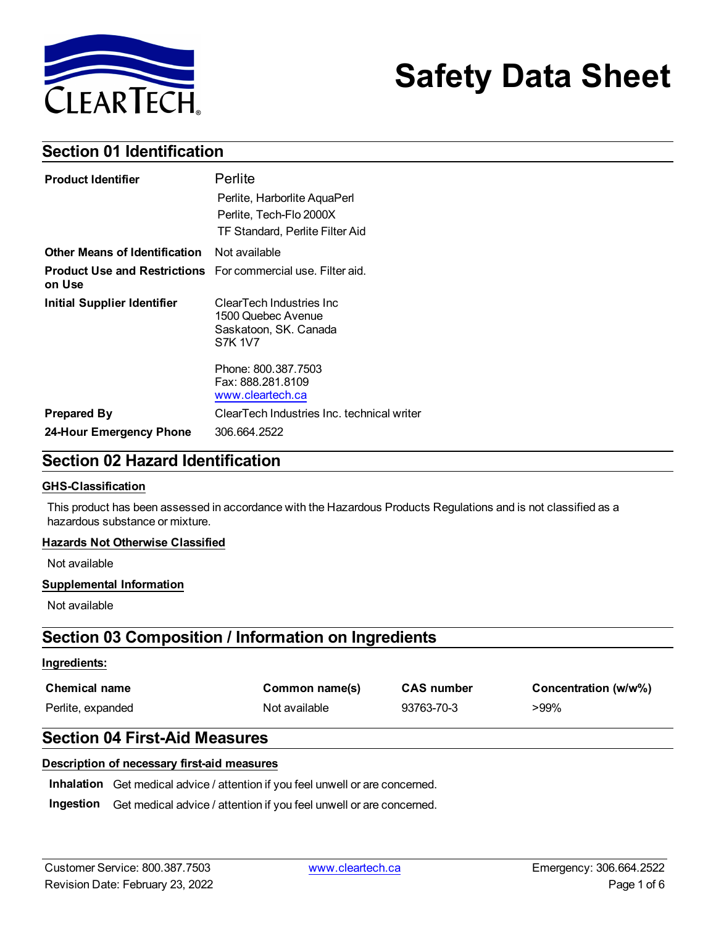

# **Safety Data Sheet**

## **Section 01 Identification**

| <b>Product Identifier</b>                                                     | Perlite                                                                                   |
|-------------------------------------------------------------------------------|-------------------------------------------------------------------------------------------|
|                                                                               | Perlite, Harborlite AquaPerl                                                              |
|                                                                               | Perlite, Tech-Flo 2000X                                                                   |
|                                                                               | TF Standard, Perlite Filter Aid                                                           |
| Other Means of Identification                                                 | Not available                                                                             |
| <b>Product Use and Restrictions</b> For commercial use. Filter aid.<br>on Use |                                                                                           |
| <b>Initial Supplier Identifier</b>                                            | ClearTech Industries Inc<br>1500 Quebec Avenue<br>Saskatoon, SK. Canada<br><b>S7K 1V7</b> |
|                                                                               | Phone: 800.387.7503<br>Fax: 888.281.8109<br>www.cleartech.ca                              |
| <b>Prepared By</b>                                                            | ClearTech Industries Inc. technical writer                                                |
| 24-Hour Emergency Phone                                                       | 306.664.2522                                                                              |

## **Section 02 Hazard Identification**

#### **GHS-Classification**

This product has been assessed in accordance with the Hazardous Products Regulations and is not classified as a hazardous substance or mixture.

#### **Hazards Not Otherwise Classified**

Not available

#### **Supplemental Information**

Not available

### **Section 03 Composition / Information on Ingredients**

#### **Ingredients:**

| <b>Chemical name</b> | Common name(s) | <b>CAS</b> number | Concentration (w/w%) |
|----------------------|----------------|-------------------|----------------------|
| Perlite, expanded    | Not available  | 93763-70-3        | >99%                 |

#### **Section 04 First-Aid Measures**

#### **Description of necessary first-aid measures**

**Inhalation** Get medical advice / attention if you feel unwell or are concerned.

**Ingestion** Get medical advice / attention if you feel unwell or are concerned.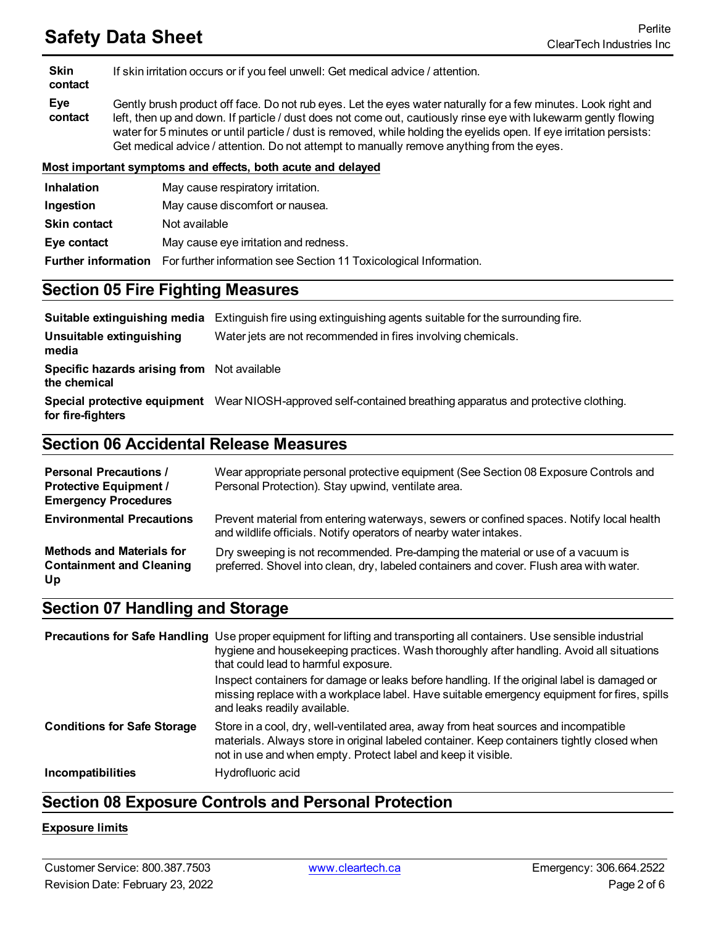**Skin contact** If skin irritation occurs or if you feel unwell: Get medical advice / attention.

**Eye contact** Gently brush product off face. Do not rub eyes. Let the eyes water naturally for a few minutes. Look right and left, then up and down. If particle / dust does not come out, cautiously rinse eye with lukewarm gently flowing water for 5 minutes or until particle / dust is removed, while holding the eyelids open. If eye irritation persists: Get medical advice / attention. Do not attempt to manually remove anything from the eyes.

#### **Most important symptoms and effects, both acute and delayed**

| <b>Inhalation</b>   | May cause respiratory irritation.                                                            |
|---------------------|----------------------------------------------------------------------------------------------|
| Ingestion           | May cause discomfort or nausea.                                                              |
| <b>Skin contact</b> | Not available                                                                                |
| Eye contact         | May cause eye irritation and redness.                                                        |
|                     | <b>Further information</b> For further information see Section 11 Toxicological Information. |

## **Section 05 Fire Fighting Measures**

|                                                             | <b>Suitable extinguishing media</b> Extinguish fire using extinguishing agents suitable for the surrounding fire. |
|-------------------------------------------------------------|-------------------------------------------------------------------------------------------------------------------|
| Unsuitable extinguishing<br>media                           | Water jets are not recommended in fires involving chemicals.                                                      |
| Specific hazards arising from Not available<br>the chemical |                                                                                                                   |
| Special protective equipment<br>for fire-fighters           | Wear NIOSH-approved self-contained breathing apparatus and protective clothing.                                   |

## **Section 06 Accidental Release Measures**

| <b>Personal Precautions /</b><br><b>Protective Equipment /</b><br><b>Emergency Procedures</b> | Wear appropriate personal protective equipment (See Section 08 Exposure Controls and<br>Personal Protection). Stay upwind, ventilate area.                                 |
|-----------------------------------------------------------------------------------------------|----------------------------------------------------------------------------------------------------------------------------------------------------------------------------|
| <b>Environmental Precautions</b>                                                              | Prevent material from entering waterways, sewers or confined spaces. Notify local health<br>and wildlife officials. Notify operators of nearby water intakes.              |
| <b>Methods and Materials for</b><br><b>Containment and Cleaning</b><br>Up                     | Dry sweeping is not recommended. Pre-damping the material or use of a vacuum is<br>preferred. Shovel into clean, dry, labeled containers and cover. Flush area with water. |

## **Section 07 Handling and Storage**

|                                    | <b>Precautions for Safe Handling</b> Use proper equipment for lifting and transporting all containers. Use sensible industrial<br>hygiene and housekeeping practices. Wash thoroughly after handling. Avoid all situations<br>that could lead to harmful exposure. |
|------------------------------------|--------------------------------------------------------------------------------------------------------------------------------------------------------------------------------------------------------------------------------------------------------------------|
|                                    | Inspect containers for damage or leaks before handling. If the original label is damaged or<br>missing replace with a workplace label. Have suitable emergency equipment for fires, spills<br>and leaks readily available.                                         |
| <b>Conditions for Safe Storage</b> | Store in a cool, dry, well-ventilated area, away from heat sources and incompatible<br>materials. Always store in original labeled container. Keep containers tightly closed when<br>not in use and when empty. Protect label and keep it visible.                 |
| <b>Incompatibilities</b>           | Hydrofluoric acid                                                                                                                                                                                                                                                  |

## **Section 08 Exposure Controls and Personal Protection**

#### **Exposure limits**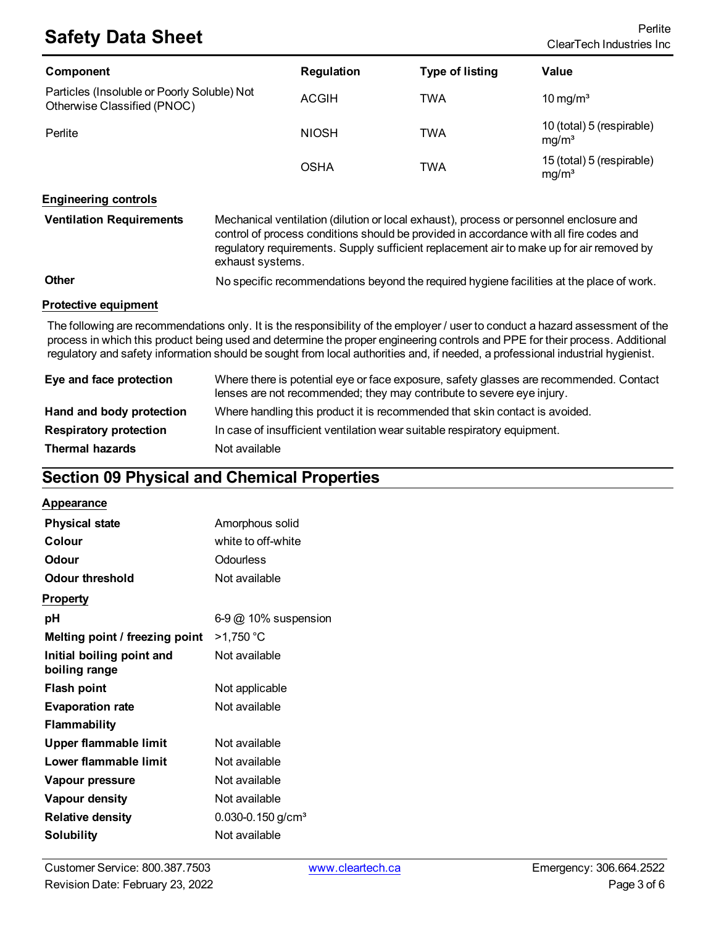| Component                                                                  | <b>Regulation</b> | <b>Type of listing</b> | Value                                          |
|----------------------------------------------------------------------------|-------------------|------------------------|------------------------------------------------|
| Particles (Insoluble or Poorly Soluble) Not<br>Otherwise Classified (PNOC) | <b>ACGIH</b>      | TWA                    | 10 mg/m <sup>3</sup>                           |
| Perlite                                                                    | <b>NIOSH</b>      | TWA                    | 10 (total) 5 (respirable)<br>mg/m <sup>3</sup> |
|                                                                            | <b>OSHA</b>       | TWA                    | 15 (total) 5 (respirable)<br>mg/m <sup>3</sup> |

**Engineering controls**

| <b>Ventilation Requirements</b> | Mechanical ventilation (dilution or local exhaust), process or personnel enclosure and   |
|---------------------------------|------------------------------------------------------------------------------------------|
|                                 | control of process conditions should be provided in accordance with all fire codes and   |
|                                 | regulatory requirements. Supply sufficient replacement air to make up for air removed by |
|                                 | exhaust systems.                                                                         |

**Other** No specific recommendations beyond the required hygiene facilities at the place of work.

**Protective equipment**

The following are recommendations only. It is the responsibility of the employer / user to conduct a hazard assessment of the process in which this product being used and determine the proper engineering controls and PPE for their process. Additional regulatory and safety information should be sought from local authorities and, if needed, a professional industrial hygienist.

| Eye and face protection       | Where there is potential eye or face exposure, safety glasses are recommended. Contact<br>lenses are not recommended; they may contribute to severe eye injury. |
|-------------------------------|-----------------------------------------------------------------------------------------------------------------------------------------------------------------|
| Hand and body protection      | Where handling this product it is recommended that skin contact is avoided.                                                                                     |
| <b>Respiratory protection</b> | In case of insufficient ventilation wear suitable respiratory equipment.                                                                                        |
| <b>Thermal hazards</b>        | Not available                                                                                                                                                   |

## **Section 09 Physical and Chemical Properties**

**Appearance**

| <b>Physical state</b>                      | Amorphous solid               |
|--------------------------------------------|-------------------------------|
| Colour                                     | white to off-white            |
| Odour                                      | Odourless                     |
| Odour threshold                            | Not available                 |
| <b>Property</b>                            |                               |
| рH                                         | $6-9$ $@$ 10% suspension      |
| Melting point / freezing point             | $>1,750$ °C                   |
| Initial boiling point and<br>boiling range | Not available                 |
| <b>Flash point</b>                         | Not applicable                |
| <b>Evaporation rate</b>                    | Not available                 |
| <b>Flammability</b>                        |                               |
| Upper flammable limit                      | Not available                 |
| Lower flammable limit                      | Not available                 |
| Vapour pressure                            | Not available                 |
| Vapour density                             | Not available                 |
| <b>Relative density</b>                    | 0.030-0.150 g/cm <sup>3</sup> |
| Solubility                                 | Not available                 |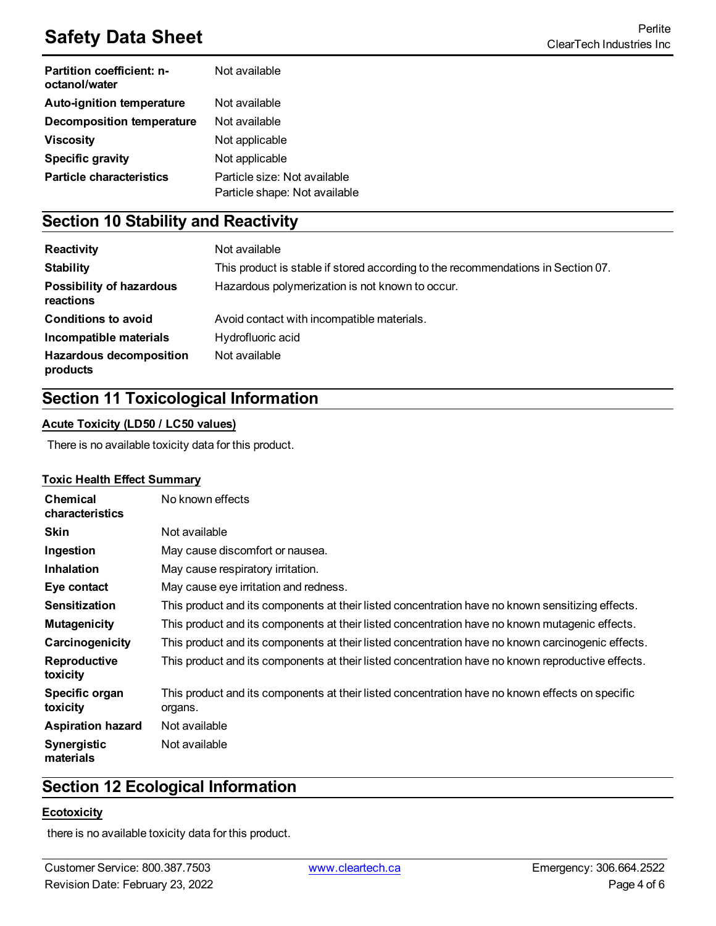## **Safety Data Sheet** Perlite<br>ClearTech Industries Inc.

| Partition coefficient: n-<br>octanol/water | Not available                 |
|--------------------------------------------|-------------------------------|
| <b>Auto-ignition temperature</b>           | Not available                 |
| Decomposition temperature                  | Not available                 |
| <b>Viscosity</b>                           | Not applicable                |
| <b>Specific gravity</b>                    | Not applicable                |
| <b>Particle characteristics</b>            | Particle size: Not available  |
|                                            | Particle shape: Not available |

## **Section 10 Stability and Reactivity**

| Reactivity                                 | Not available                                                                    |
|--------------------------------------------|----------------------------------------------------------------------------------|
| <b>Stability</b>                           | This product is stable if stored according to the recommendations in Section 07. |
| Possibility of hazardous<br>reactions      | Hazardous polymerization is not known to occur.                                  |
| <b>Conditions to avoid</b>                 | Avoid contact with incompatible materials.                                       |
| Incompatible materials                     | Hydrofluoric acid                                                                |
| <b>Hazardous decomposition</b><br>products | Not available                                                                    |

## **Section 11 Toxicological Information**

#### **Acute Toxicity (LD50 / LC50 values)**

There is no available toxicity data for this product.

#### **Toxic Health Effect Summary**

| <b>Chemical</b><br>characteristics | No known effects                                                                                           |
|------------------------------------|------------------------------------------------------------------------------------------------------------|
| <b>Skin</b>                        | Not available                                                                                              |
| Ingestion                          | May cause discomfort or nausea.                                                                            |
| <b>Inhalation</b>                  | May cause respiratory irritation.                                                                          |
| Eye contact                        | May cause eye irritation and redness.                                                                      |
| <b>Sensitization</b>               | This product and its components at their listed concentration have no known sensitizing effects.           |
| <b>Mutagenicity</b>                | This product and its components at their listed concentration have no known mutagenic effects.             |
| Carcinogenicity                    | This product and its components at their listed concentration have no known carcinogenic effects.          |
| Reproductive<br>toxicity           | This product and its components at their listed concentration have no known reproductive effects.          |
| Specific organ<br>toxicity         | This product and its components at their listed concentration have no known effects on specific<br>organs. |
| <b>Aspiration hazard</b>           | Not available                                                                                              |
| <b>Synergistic</b><br>materials    | Not available                                                                                              |

## **Section 12 Ecological Information**

#### **Ecotoxicity**

there is no available toxicity data for this product.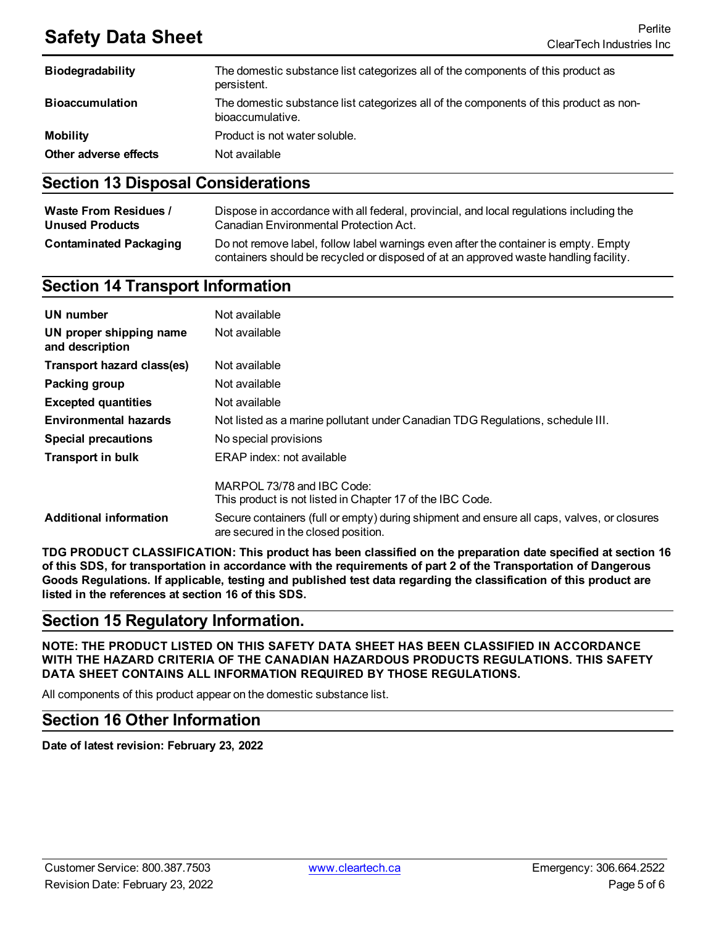| Biodegradability       | The domestic substance list categorizes all of the components of this product as<br>persistent.           |
|------------------------|-----------------------------------------------------------------------------------------------------------|
| <b>Bioaccumulation</b> | The domestic substance list categorizes all of the components of this product as non-<br>bioaccumulative. |
| <b>Mobility</b>        | Product is not water soluble.                                                                             |
| Other adverse effects  | Not available                                                                                             |

### **Section 13 Disposal Considerations**

| <b>Waste From Residues /</b>  | Dispose in accordance with all federal, provincial, and local regulations including the                                                                                     |
|-------------------------------|-----------------------------------------------------------------------------------------------------------------------------------------------------------------------------|
| <b>Unused Products</b>        | Canadian Environmental Protection Act.                                                                                                                                      |
| <b>Contaminated Packaging</b> | Do not remove label, follow label warnings even after the container is empty. Empty<br>containers should be recycled or disposed of at an approved waste handling facility. |

### **Section 14 Transport Information**

| UN number                                  | Not available                                                                                                                     |
|--------------------------------------------|-----------------------------------------------------------------------------------------------------------------------------------|
| UN proper shipping name<br>and description | Not available                                                                                                                     |
| <b>Transport hazard class(es)</b>          | Not available                                                                                                                     |
| Packing group                              | Not available                                                                                                                     |
| <b>Excepted quantities</b>                 | Not available                                                                                                                     |
| <b>Environmental hazards</b>               | Not listed as a marine pollutant under Canadian TDG Regulations, schedule III.                                                    |
| <b>Special precautions</b>                 | No special provisions                                                                                                             |
| <b>Transport in bulk</b>                   | ERAP index: not available                                                                                                         |
|                                            | MARPOL 73/78 and IBC Code:<br>This product is not listed in Chapter 17 of the IBC Code.                                           |
| <b>Additional information</b>              | Secure containers (full or empty) during shipment and ensure all caps, valves, or closures<br>are secured in the closed position. |

**TDG PRODUCT CLASSIFICATION: This product has been classified on the preparation date specified at section 16** of this SDS, for transportation in accordance with the requirements of part 2 of the Transportation of Dangerous Goods Regulations. If applicable, testing and published test data regarding the classification of this product are **listed in the references at section 16 of this SDS.**

### **Section 15 Regulatory Information.**

**NOTE: THE PRODUCT LISTED ON THIS SAFETY DATA SHEET HAS BEEN CLASSIFIED IN ACCORDANCE WITH THE HAZARD CRITERIA OF THE CANADIAN HAZARDOUS PRODUCTS REGULATIONS. THIS SAFETY DATA SHEET CONTAINS ALL INFORMATION REQUIRED BY THOSE REGULATIONS.**

All components of this product appear on the domestic substance list.

## **Section 16 Other Information**

**Date of latest revision: February 23, 2022**